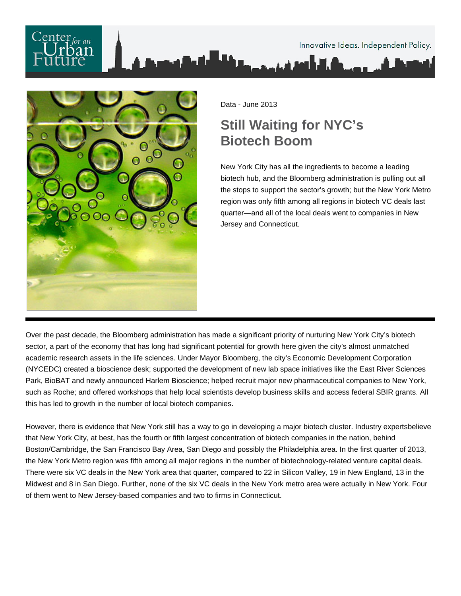## Innovative Ideas. Independent Policy.



Data - June 2013

## **Still Waiting for NYC's Biotech Boom**

New York City has all the ingredients to become a leading biotech hub, and the Bloomberg administration is pulling out all the stops to support the sector's growth; but the New York Metro region was only fifth among all regions in biotech VC deals last quarter—and all of the local deals went to companies in New Jersey and Connecticut.

Over the past decade, the Bloomberg administration has made a significant priority of nurturing New York City's biotech sector, a part of the economy that has long had significant potential for growth here given the city's almost unmatched academic research assets in the life sciences. Under Mayor Bloomberg, the city's Economic Development Corporation (NYCEDC) created a bioscience desk; supported the development of new lab space initiatives like the East River Sciences Park, BioBAT and newly announced Harlem Bioscience; helped recruit major new pharmaceutical companies to New York, such as Roche; and offered workshops that help local scientists develop business skills and access federal SBIR grants. All this has led to growth in the number of local biotech companies.

However, there is evidence that New York still has a way to go in developing a major biotech cluster. Industry experts believe that New York City, at best, has the fourth or fifth largest concentration of biotech companies in the nation, behind Boston/Cambridge, the San Francisco Bay Area, San Diego and possibly the Philadelphia area. In the first quarter of 2013, the New York Metro region was fifth among all major regions in the number of biotechnology-related venture capital deals. There were six VC deals in the New York area that quarter, compared to 22 in Silicon Valley, 19 in New England, 13 in the Midwest and 8 in San Diego. Further, none of the six VC deals in the New York metro area were actually in New York. Four of them went to New Jersey-based companies and two to firms in Connecticut.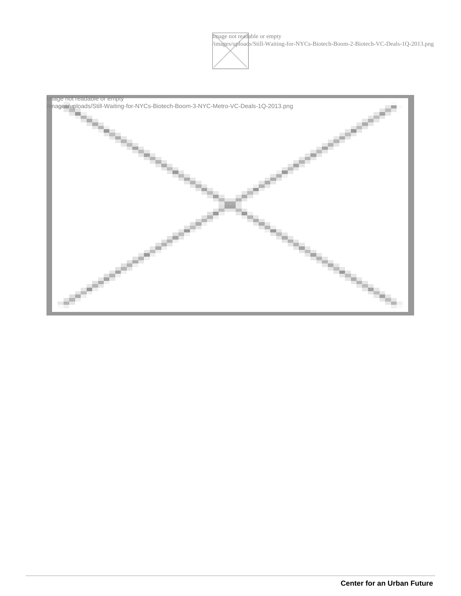Image not readable or empty /images/uploads/Still-Waiting-for-NYCs-Biotech-Boom-2-Biotech-VC-Deals-1Q-2013.png